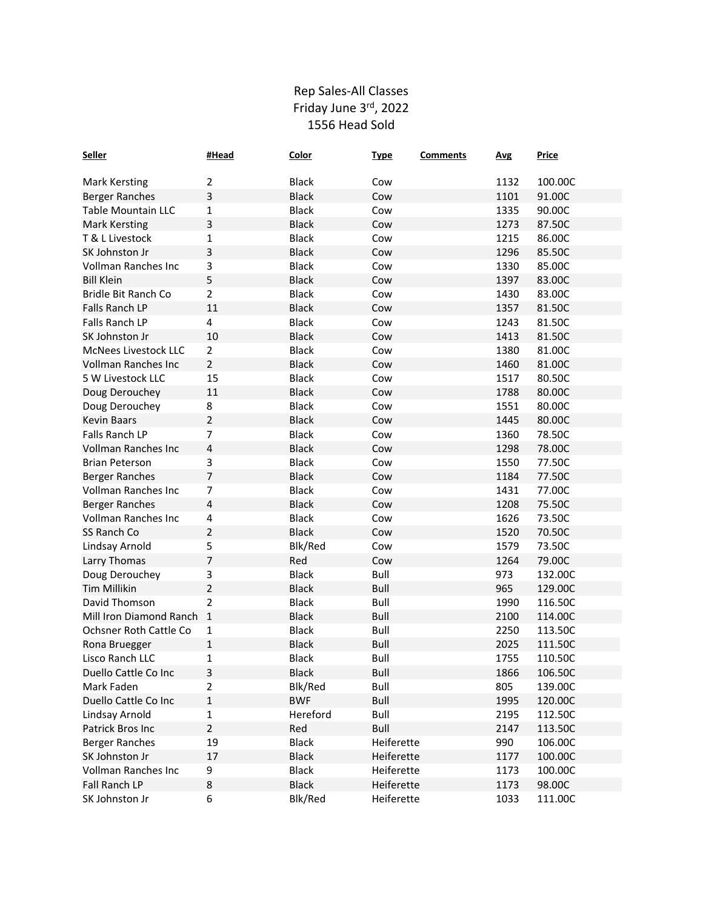## Rep Sales-All Classes Friday June 3rd, 2022 1556 Head Sold

| <b>Seller</b>              | #Head          | <b>Color</b> | <b>Type</b> | <b>Comments</b> | <b>Avg</b> | <b>Price</b> |
|----------------------------|----------------|--------------|-------------|-----------------|------------|--------------|
|                            |                |              |             |                 |            |              |
| <b>Mark Kersting</b>       | $\overline{2}$ | <b>Black</b> | Cow         |                 | 1132       | 100.00C      |
| <b>Berger Ranches</b>      | 3              | <b>Black</b> | Cow         |                 | 1101       | 91.00C       |
| Table Mountain LLC         | 1              | <b>Black</b> | Cow         |                 | 1335       | 90.00C       |
| <b>Mark Kersting</b>       | 3              | <b>Black</b> | Cow         |                 | 1273       | 87.50C       |
| T & L Livestock            | 1              | <b>Black</b> | Cow         |                 | 1215       | 86.00C       |
| SK Johnston Jr             | 3              | <b>Black</b> | Cow         |                 | 1296       | 85.50C       |
| Vollman Ranches Inc        | 3              | <b>Black</b> | Cow         |                 | 1330       | 85.00C       |
| <b>Bill Klein</b>          | 5              | <b>Black</b> | Cow         |                 | 1397       | 83.00C       |
| Bridle Bit Ranch Co        | $\overline{2}$ | <b>Black</b> | Cow         |                 | 1430       | 83.00C       |
| <b>Falls Ranch LP</b>      | 11             | <b>Black</b> | Cow         |                 | 1357       | 81.50C       |
| Falls Ranch LP             | 4              | <b>Black</b> | Cow         |                 | 1243       | 81.50C       |
| SK Johnston Jr             | 10             | <b>Black</b> | Cow         |                 | 1413       | 81.50C       |
| McNees Livestock LLC       | $\overline{2}$ | <b>Black</b> | Cow         |                 | 1380       | 81.00C       |
| <b>Vollman Ranches Inc</b> | $\overline{2}$ | <b>Black</b> | Cow         |                 | 1460       | 81.00C       |
| 5 W Livestock LLC          | 15             | <b>Black</b> | Cow         |                 | 1517       | 80.50C       |
| Doug Derouchey             | 11             | <b>Black</b> | Cow         |                 | 1788       | 80.00C       |
| Doug Derouchey             | 8              | <b>Black</b> | Cow         |                 | 1551       | 80.00C       |
| <b>Kevin Baars</b>         | $\overline{2}$ | <b>Black</b> | Cow         |                 | 1445       | 80.00C       |
| Falls Ranch LP             | $\overline{7}$ | <b>Black</b> | Cow         |                 | 1360       | 78.50C       |
| <b>Vollman Ranches Inc</b> | 4              | <b>Black</b> | Cow         |                 | 1298       | 78.00C       |
| <b>Brian Peterson</b>      | 3              | <b>Black</b> | Cow         |                 | 1550       | 77.50C       |
| <b>Berger Ranches</b>      | $\overline{7}$ | <b>Black</b> | Cow         |                 | 1184       | 77.50C       |
| Vollman Ranches Inc        | $\overline{7}$ | <b>Black</b> | Cow         |                 | 1431       | 77.00C       |
| <b>Berger Ranches</b>      | 4              | <b>Black</b> | Cow         |                 | 1208       | 75.50C       |
| Vollman Ranches Inc        | 4              | <b>Black</b> | Cow         |                 | 1626       | 73.50C       |
| SS Ranch Co                | $\overline{2}$ | <b>Black</b> | Cow         |                 | 1520       | 70.50C       |
| Lindsay Arnold             | 5              | Blk/Red      | Cow         |                 | 1579       | 73.50C       |
| Larry Thomas               | $\overline{7}$ | Red          | Cow         |                 | 1264       | 79.00C       |
| Doug Derouchey             | 3              | <b>Black</b> | Bull        |                 | 973        | 132.00C      |
| <b>Tim Millikin</b>        | $\overline{2}$ | <b>Black</b> | <b>Bull</b> |                 | 965        | 129.00C      |
| David Thomson              | $\overline{2}$ | Black        | Bull        |                 | 1990       | 116.50C      |
| Mill Iron Diamond Ranch    | $\mathbf 1$    | <b>Black</b> | Bull        |                 | 2100       | 114.00C      |
| Ochsner Roth Cattle Co     | 1              | <b>Black</b> | Bull        |                 | 2250       | 113.50C      |
| Rona Bruegger              | $\mathbf{1}$   | <b>Black</b> | <b>Bull</b> |                 | 2025       | 111.50C      |
| Lisco Ranch LLC            | 1              | <b>Black</b> | Bull        |                 | 1755       | 110.50C      |
| Duello Cattle Co Inc       | 3              | <b>Black</b> | Bull        |                 | 1866       | 106.50C      |
| Mark Faden                 | $\overline{2}$ | Blk/Red      | Bull        |                 | 805        | 139.00C      |
| Duello Cattle Co Inc       | $\mathbf 1$    | <b>BWF</b>   | Bull        |                 | 1995       | 120.00C      |
| Lindsay Arnold             | $\mathbf 1$    | Hereford     | Bull        |                 | 2195       | 112.50C      |
| Patrick Bros Inc           | $\overline{2}$ | Red          | Bull        |                 | 2147       | 113.50C      |
| Berger Ranches             | 19             | <b>Black</b> | Heiferette  |                 | 990        | 106.00C      |
| SK Johnston Jr             | 17             | <b>Black</b> | Heiferette  |                 | 1177       | 100.00C      |
| Vollman Ranches Inc        | 9              | <b>Black</b> | Heiferette  |                 | 1173       | 100.00C      |
| Fall Ranch LP              | 8              | <b>Black</b> | Heiferette  |                 | 1173       | 98.00C       |
| SK Johnston Jr             | 6              | Blk/Red      | Heiferette  |                 | 1033       | 111.00C      |